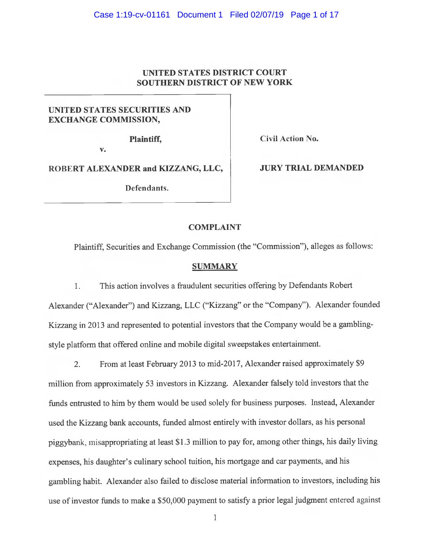## UNITED STATES DISTRICT COURT SOUTHERN DISTRICT OF NEW YORK

# UNITED STATES SECURITIES AND EXCHANGE COMMISSION,

Plaintiff,

Civil Action No.

v.

ROBERT ALEXANDER and KIZZANG, LLC,

Defendants.

JURY TRIAL DEMANDED

# **COMPLAINT**

<sup>P</sup>laintiff, Securities and Exchange Commission (the "Commission"), alleges as follows:

### **SUMMARY**

1. This action involves a fraudulent securities offering by Defendants Robert <sup>A</sup>lexander ("Alexander") and Kizzang, LLC ("Kizzang" or the "Company"). Alexander founded <sup>K</sup>izzang in 2013 and represented to potential investors that the Company would be a gamblingstyle platform that offered online and mobile digital sweepstakes entertainment.

<sup>2</sup>. From at least February 2013 to mid-2017, Alexander raised approximately \$9 <sup>m</sup>illion from approximately 53 investors in Kizzang. Alexander falsely told investors that the <sup>f</sup>unds entrusted to him by them would be used solely for business purposes. Instead, Alexander <sup>u</sup>sed the Kizzang bank accounts, funded almost entirely with investor dollars, as his personal <sup>p</sup>iggybank, misappropriating at least \$1.3 million to pay for, among other things, his daily living <sup>e</sup>xpenses, his daughter's culinary school tuition, his mortgage and car payments, and his <sup>g</sup>ambling habit. Alexander also failed to disclose material information to investors, including his <sup>u</sup>se of investor funds to make a \$50,000 payment to satisfy a prior legal judgment entered against

 $\mathbf{1}$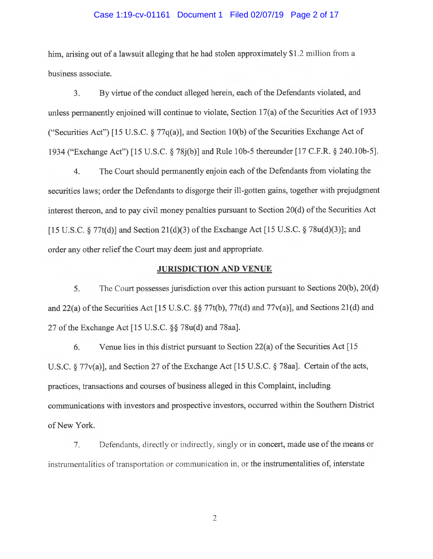### Case 1:19-cv-01161 Document 1 Filed 02/07/19 Page 2 of 17

him, arising out of a lawsuit alleging that he had stolen approximately \$1.2 million from a business associate.

3. By virtue of the conduct alleged herein, each of the Defendants violated, and <sup>u</sup>nless permanently enjoined will continue to violate, Section 17(a) of the Securities Act of 1933 ("Securities Act") [15 U.S.C. § 77 $q(a)$ ], and Section 10(b) of the Securities Exchange Act of <sup>1</sup>934 ("Exchange Act") [15 U.S.C. § 78j(b)] and Rule lOb-5 thereunder [17 C.F.R. § 240.1Ob-5].

4. The Court should permanently enjoin each of the Defendants from violating the <sup>s</sup>ecurities laws; order the Defendants to disgorge their ill-gotten gains, together with prejudgment interest thereon, and to pay civil money penalties pursuant to Section 20(d) of the Securities Act [15 U.S.C.  $\S 77t(d)$ ] and Section 21(d)(3) of the Exchange Act [15 U.S.C.  $\S 78u(d)(3)$ ]; and <sup>o</sup>rder any other relief the Court may deem just and appropriate.

### JURISDICTION AND VENUE

5. The Court possesses jurisdiction over this action pursuant to Sections 20(b), 20(d) <sup>a</sup>nd 22(a) of the Securities Act [15 U.S.C. §§ 77t(b), 77t(d) and 77v(a)], and Sections 21(d) and 27 of the Exchange Act [15 U.S.C. §§ 78u(d) and 78aa].

6. Venue lies in this district pursuant to Section 22(a) of the Securities Act [15 <sup>U</sup>.S.C. § 77v(a)], and Section 27 of the Exchange Act [15 U.S.C. § 78aa]. Certain of the acts, <sup>p</sup>ractices, transactions and courses of business alleged in this Complaint, including <sup>c</sup>ommunications with investors and prospective investors, occurred within the Southern District <sup>o</sup>f New York.

7. Defendants, directly or indirectly, singly or in concert, made use of the means or instrumentalities of transportation or communication in, or the instrumentalities of, interstate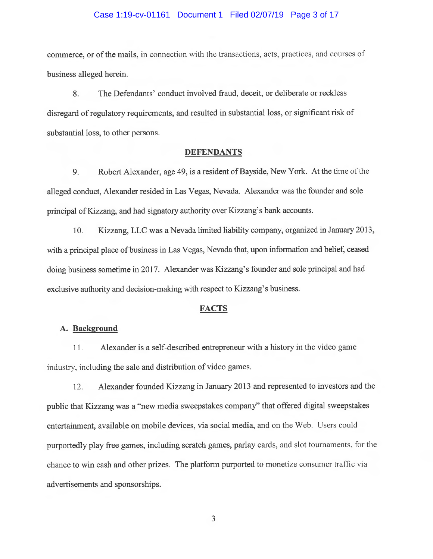### Case 1:19-cv-01161 Document 1 Filed 02/07/19 Page 3 of 17

commerce, or of the mails, in connection with the transactions, acts, practices, and courses of business alleged herein.

8. The Defendants' conduct involved fraud, deceit, or deliberate or reckless <sup>d</sup>isregard of regulatory requirements, and resulted in substantial loss, or significant risk of <sup>s</sup>ubstantial loss, to other persons.

#### DEFENDANTS

9. Robert Alexander, age 49, is a resident of Bayside, New York. At the time of the <sup>a</sup>lleged conduct, Alexander resided in Las Vegas, Nevada. Alexander was the founder and sole <sup>p</sup>rincipal of Kizzang, and had signatory authority over Kizzang's bank accounts.

<sup>1</sup>0. Kizzang, LLC was a Nevada limited liability company, organized in January 2013, <sup>w</sup>ith a principal place of business in Las Vegas, Nevada that, upon information and belief, ceased doing business sometime in 2017. Alexander was Kizzang's founder and sole principal and had <sup>e</sup>xclusive authority and decision-making with respect to Kizzang's business.

### **FACTS**

## A. Background

11. Alexander is a self-described entrepreneur with a history in the video game industry, including the sale and distribution of video games.

12. Alexander founded Kizzang in January 2013 and represented to investors and the <sup>p</sup>ublic that Kizzang was a "new media sweepstakes company" that offered digital sweepstakes <sup>e</sup>ntertainment, available on mobile devices, via social media, and on the Web. Users could <sup>p</sup>urportedly play free games, including scratch games, parlay cards, and slot tournaments, for the <sup>c</sup>hance to win cash and other prizes. The platform purported to monetize consumer traffic via <sup>a</sup>dvertisements and sponsorships.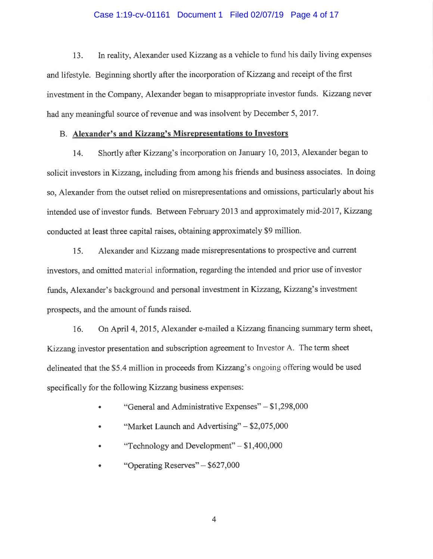### Case 1:19-cv-01161 Document 1 Filed 02/07/19 Page 4 of 17

13. In reality, Alexander used Kizzang as <sup>a</sup>vehicle to fund his daily living expenses <sup>a</sup>nd lifestyle. Beginning shortly after the incorporation of Kizzang and receipt of the first investment in the Company, Alexander began to misappropriate investor funds. Kizzang never had any meaningful source of revenue and was insolvent by December 5, 2017.

### <sup>B</sup>. Alexander's and Kizzang's Misrepresentations to Investors

<sup>1</sup>4. Shortly after Kizzang's incorporation on January 10, 2013, Alexander began to <sup>s</sup>olicit investors in Kizzang, including from among his friends and business associates. In doing <sup>s</sup>o, Alexander from the outset relied on misrepresentations and omissions, particularly about his intended use of investor funds. Between February 2013 and approximately mid-2017, Kizzang <sup>c</sup>onducted at least three capital raises, obtaining approximately \$9 million.

15. Alexander and Kizzang made misrepresentations to prospective and current investors, and omitted material information, regarding the intended and prior use of investor <sup>f</sup>unds, Alexander's background and personal investment in Kizzang, Kizzang's investment <sup>p</sup>rospects, and the amount of funds raised.

<sup>1</sup>6. On Apri14, 2015, Alexander e-mailed a Kizzang financing summary term sheet, <sup>K</sup>izzang investor presentation and subscription agreement to Investor A. The term sheet delineated that the \$5.4 million in proceeds from Kizzang's ongoing offering would be used <sup>s</sup>pecifically for the following Kizzang business expenses:

- •"General and Administrative Expenses" — \$1,298,000
- •"Market Launch and Advertising"  $-$  \$2,075,000
- •"Technology and Development" — \$1,400,000
- •"Operating Reserves" — \$627,000

 $\overline{4}$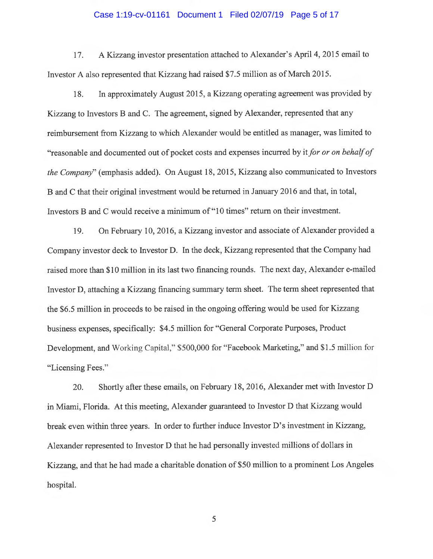### Case 1:19-cv-01161 Document 1 Filed 02/07/19 Page 5 of 17

17. A Kizzang investor presentation attached to Alexander's Apri14, 2015 email to <sup>I</sup>nvestor A also represented that Kizzang had raised \$7.5 million as of March 2015.

18. In approximately August 2015, a Kizzang operating agreement was provided by <sup>K</sup>izzang to Investors B and C. The agreement, signed by Alexander, represented that any <sup>r</sup>eimbursement from Kizzang to which Alexander would be entitled as manager, was limited to "reasonable and documented out of pocket costs and expenses incurred by it for or on behalf of <sup>t</sup>he Company" (emphasis added). On August 18, 2015, Kizzang also communicated to Investors B and C that their original investment would be returned in January 2016 and that, in total, Investors B and C would receive a minimum of "10 times" return on their investment.

<sup>1</sup>9. On February 10, 2016, a Kizzang investor and associate of Alexander provided <sup>a</sup> <sup>C</sup>ompany investor deck to Investor D. In the deck, Kizzang represented that the Company had <sup>r</sup>aised more than \$10 million in its last two financing rounds. The next day, Alexander e-mailed <sup>I</sup>nvestor D, attaching a Kizzang financing summary term sheet. The term sheet represented that <sup>t</sup>he \$6.5 million in proceeds to be raised in the ongoing offering would be used for Kizzang business expenses, specifically: \$4.5 million for "General Corporate Purposes, Product <sup>D</sup>evelopment, and Working Capital," \$500,000 for "Facebook Marketing," and \$1.5 million for "Licensing Fees."

20. Shortly after these emails, on February 18, 2016, Alexander met with Investor <sup>D</sup> in Miami, Florida. At this meeting, Alexander guaranteed to Investor D that Kizzang would break even within three years. In order to further induce Investor D's investment in Kizzang, <sup>A</sup>lexander represented to Investor D that he had personally invested millions of dollars in <sup>K</sup>izzang, and that he had made a charitable donation of \$50 million to a prominent Los Angeles hospital.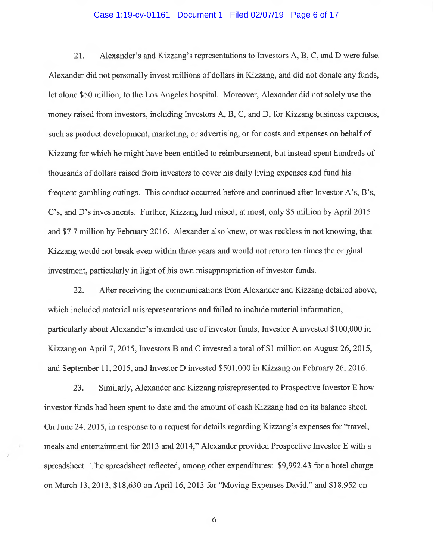### Case 1:19-cv-01161 Document 1 Filed 02/07/19 Page 6 of 17

21. Alexander's and Kizzang's representations to Investors A, B, C, and D were false. Alexander did not personally invest millions of dollars in Kizzang, and did not donate any funds, let alone \$50 million, to the Los Angeles hospital. Moreover, Alexander did not solely use the money raised from investors, including Investors A, B, C, and D, for Kizzang business expenses, such as product development, marketing, or advertising, or for costs and expenses on behalf of Kizzang for which he might have been entitled to reimbursement, but instead spent hundreds of thousands of dollars raised from investors to cover his daily living expenses and fund his frequent gambling outings. This conduct occurred before and continued after Investor A's, B's, C's, and D's investments. Further, Kizzang had raised, at most, only \$5 million by Apri12015 and \$7.7 million by February 2016. Alexander also knew, or was reckless in not knowing, that Kizzang would not break even within three years and would not return ten times the original investment, particularly in light of his own misappropriation of investor funds.

22. After receiving the communications from Alexander and Kizzang detailed above, which included material misrepresentations and failed to include material information, particularly about Alexander's intended use of investor funds, Investor A invested \$100,000 in Kizzang on April 7, 2015, Investors B and C invested a total of \$1 million on August 26, 2015, and September 11, 2015, and Investor D invested \$501,000 in Kizzang on February 26, 2016.

23. Similarly, Alexander and Kizzang misrepresented to Prospective Investor E how investor funds had been spent to date and the amount of cash Kizzang had on its balance sheet. On June 24, 2015, in response to a request for details regarding Kizzang's expenses for "travel, meals and entertainment for 2013 and 2014," Alexander provided Prospective Investor E with a spreadsheet. The spreadsheet reflected, among other expenditures: \$9,992.43 for a hotel charge on March 13, 2013, \$18,630 on April 16, 2013 for "Moving Expenses David," and \$18,952 on

G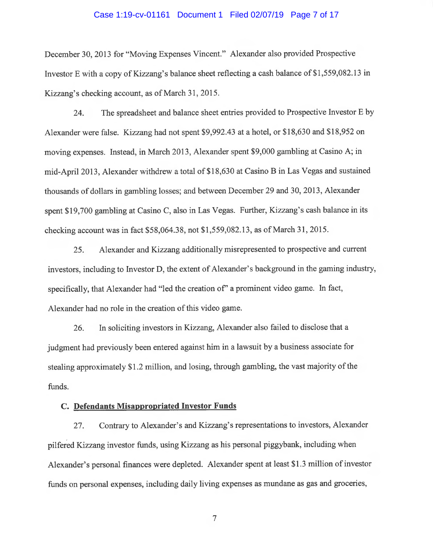### Case 1:19-cv-01161 Document 1 Filed 02/07/19 Page 7 of 17

December 30, 2013 for "Moving Expenses Vincent." Alexander also provided Prospective <sup>I</sup>nvestor E with a copy of Kizzang's balance sheet reflecting a cash balance of \$1,559,082.13 in <sup>K</sup>izzang's checking account, as of March 31, 2015.

24. The spreadsheet and balance sheet entries provided to Prospective Investor E by <sup>A</sup>lexander were false. Kizzang had not spent \$9,992.43 at a hotel, or \$18,630 and \$18,952 on <sup>m</sup>oving expenses. Instead, in March 2013, Alexander spent \$9,000 gambling at Casino A; in <sup>m</sup>id-Apri12013, Alexander withdrew a total of \$18,630 at Casino B in Las Vegas and sustained <sup>t</sup>housands of dollars in gambling losses; and between December 29 and 30, 2013, Alexander <sup>s</sup>pent \$19,700 gambling at Casino C, also in Las Vegas. Further, Kizzang's cash balance in its <sup>c</sup>hecking account was in fact \$58,064.38, not \$1,559,082.13, as of March 31, 2015.

25. Alexander and Kizzang additionally misrepresented to prospective and current investors, including to Investor D, the extent of Alexander's background in the gaming industry, specifically, that Alexander had "led the creation of" a prominent video game. In fact, Alexander had no role in the creation of this video game.

<sup>2</sup>6. In soliciting investors in Kizzang, Alexander also failed to disclose that <sup>a</sup> judgment had previously been entered against him in a lawsuit by a business associate for <sup>s</sup>tealing approximately \$1.2 million, and losing, through gambling, the vast majority of the funds.

### C. Defendants Misappropriated Investor Funds

<sup>2</sup>7. Contrary to Alexander's and Kizzang's representations to investors, Alexander <sup>p</sup>ilfered Kizzang investor funds, using Kizzang as his personal piggybank, including when <sup>A</sup>lexander's personal finances were depleted. Alexander spent at least \$1.3 million of investor <sup>f</sup>unds on personal expenses, including daily living expenses as mundane as gas and groceries,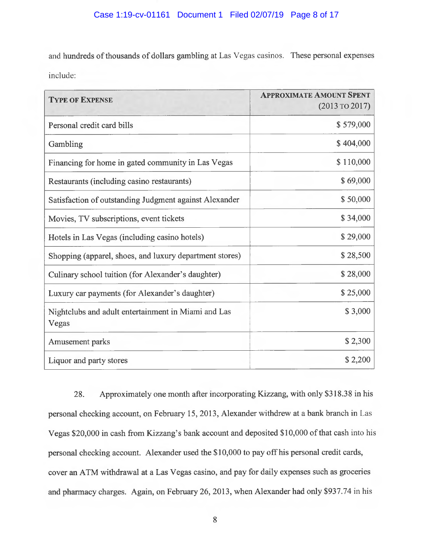and hundreds of thousands of dollars gambling at Las Vegas casinos. These personal expenses include:

| <b>TYPE OF EXPENSE</b>                                       | <b>APPROXIMATE AMOUNT SPENT</b><br>$(2013 \text{ TO } 2017)$ |
|--------------------------------------------------------------|--------------------------------------------------------------|
| Personal credit card bills                                   | \$579,000                                                    |
| Gambling                                                     | \$404,000                                                    |
| Financing for home in gated community in Las Vegas           | \$110,000                                                    |
| Restaurants (including casino restaurants)                   | \$69,000                                                     |
| Satisfaction of outstanding Judgment against Alexander       | \$50,000                                                     |
| Movies, TV subscriptions, event tickets                      | \$34,000                                                     |
| Hotels in Las Vegas (including casino hotels)                | \$29,000                                                     |
| Shopping (apparel, shoes, and luxury department stores)      | \$28,500                                                     |
| Culinary school tuition (for Alexander's daughter)           | \$28,000                                                     |
| Luxury car payments (for Alexander's daughter)               | \$25,000                                                     |
| Nightclubs and adult entertainment in Miami and Las<br>Vegas | \$3,000                                                      |
| Amusement parks                                              | \$2,300                                                      |
| Liquor and party stores                                      | \$2,200                                                      |

28. Approximately one month after incorporating Kizzang, with only \$318.38 in his <sup>p</sup>ersonal checking account, on February 15, 2013, Alexander withdrew at a bank branch in Las <sup>V</sup>egas \$20,000 in cash from Kizzang's bank account and deposited \$10,000 of that cash into his <sup>p</sup>ersonal checking account. Alexander used the \$10,000 to pay off his personal credit cards, <sup>c</sup>over an ATM withdrawal at a Las Vegas casino, and pay for daily expenses such as groceries <sup>a</sup>nd pharmacy charges. Again, on February 26, 2013, when Alexander had only \$937.74 in his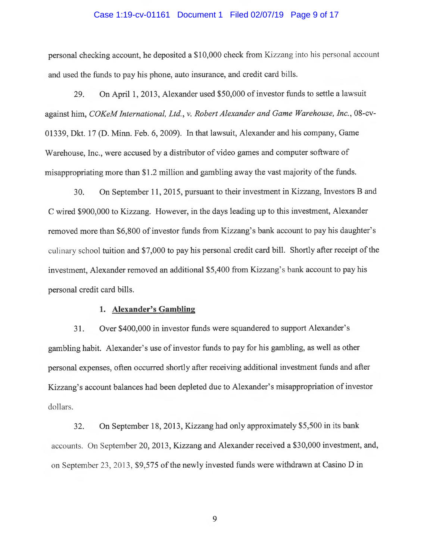### Case 1:19-cv-01161 Document 1 Filed 02/07/19 Page 9 of 17

personal checking account, he deposited a \$10,000 check from Kizzang into his personal account <sup>a</sup>nd used the funds to pay his phone, auto insurance, and credit card bills.

29. On April 1, 2013, Alexander used \$50,000 of investor funds to settle a lawsuit against him, COKeM International, Ltd., v. Robert Alexander and Game Warehouse, Inc., 08-cv-01339, Dkt. 17 (D. Minn. Feb. 6, 2009). In that lawsuit, Alexander and his company, Game <sup>W</sup>arehouse, Inc., were accused by a distributor of video games and computer software of <sup>m</sup>isappropriating more than \$1.2 million and gambling away the vast majority of the funds.

30. On September 11, 2015, pursuant to their investment in Kizzang, Investors B and <sup>C</sup> wired \$900,000 to Kizzang. However, in the days leading up to this investment, Alexander <sup>r</sup>emoved more than \$6,800 of investor funds from Kizzang's bank account to pay his daughter's <sup>c</sup>ulinary school tuition and \$7,000 to pay his personal credit card bill. Shortly after receipt of the investment, Alexander removed an additional \$5,400 from Kizzang's bank account to pay his personal credit card bills.

#### 1. Alexander's Gambling

31. Over \$400,000 in investor funds were squandered to support Alexander's <sup>g</sup>ambling habit. Alexander's use of investor funds to pay for his gambling, as well as other <sup>p</sup>ersonal expenses, often occurred shortly after receiving additional investment funds and after <sup>K</sup>izzang's account balances had been depleted due to Alexander's misappropriation of investor dollars.

32. On September 18, 2013, Kizzang had only approximately \$5,500 in its bank <sup>a</sup>ccounts. On September 20, 2013, Kizzang and Alexander received a \$30,000 investment, and, on September 23, 2013, \$9,575 of the newly invested funds were withdrawn at Casino D in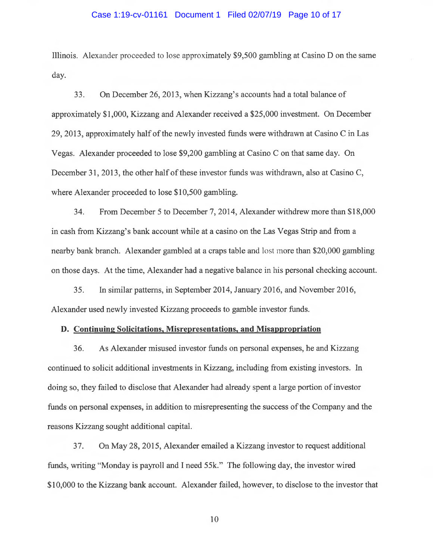#### Case 1:19-cv-01161 Document 1 Filed 02/07/19 Page 10 of 17

Illinois. Alexander proceeded to lose approximately \$9,500 gambling at Casino D on the same day.

33. On December 26, 2013, when Kizzang's accounts had a total balance of approximately \$1,000, Kizzang and Alexander received a \$25,000 investment. On December 29, 2013, approximately half of the newly invested funds were withdrawn at Casino C in Las Vegas. Alexander proceeded to lose \$9,200 gambling at Casino C on that same day. On December 31, 2013, the other half of these investor funds was withdrawn, also at Casino C, where Alexander proceeded to lose \$10,500 gambling.

34. From December 5 to December 7, 2014, Alexander withdrew more than \$18,000 in cash from Kizzang's bank account while at a casino on the Las Vegas Strip and from a nearby bank branch. Alexander gambled at a craps table and lost more than \$20,000 gambling on those days. At the time, Alexander had a negative balance in his personal checking account.

35. In similar patterns, in September 2014, January 2016, and November 2016, Alexander used newly invested Kizzang proceeds to gamble investor funds.

### D. Continuing Solicitations, Misrepresentations, and Misappropriation

36. As Alexander misused investor funds on personal expenses, he and Kizzang continued to solicit additional investments in Kizzang, including from existing investors. In doing so, they failed to disclose that Alexander had already spent a large portion of investor funds on personal expenses, in addition to misrepresenting the success of the Company and the reasons Kizzang sought additional capital.

37. On May 28, 2015, Alexander emailed a Kizzang investor to request additional funds, writing "Monday is payroll and I need SSk." The following day, the investor wired \$10,000 to the Kizzang bank account. Alexander failed, however, to disclose to the investor that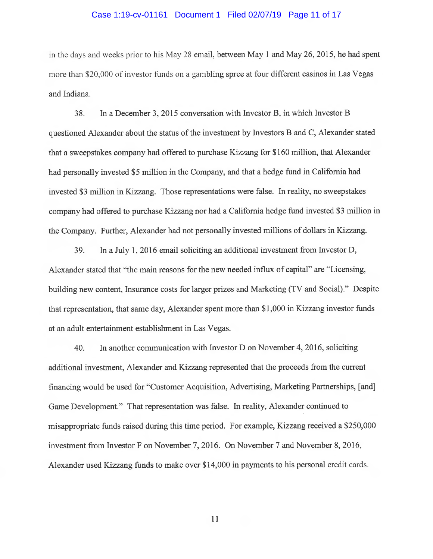#### Case 1:19-cv-01161 Document 1 Filed 02/07/19 Page 11 of 17

in the days and weeks prior to his May 28 email, between May 1 and May 26, 2015, he had spent more than \$20,000 of investor funds on a gambling spree at four different casinos in Las Vegas and Indiana.

38. In a December 3, 2015 conversation with Investor B, in which Investor B questioned Alexander about the status of the investment by Investors B and C, Alexander stated that a sweepstakes company had offered to purchase Kizzang for \$160 million, that Alexander had personally invested \$5 million in the Company, and that a hedge fund in California had invested \$3 million in Kizzang. Those representations were false. In reality, no sweepstakes company had offered to purchase Kizzang nor had a California hedge fund invested \$3 million in the Company. Further, Alexander had not personally invested millions of dollars in Kizzang.

39. In a July 1, 2016 email soliciting an additional investment from Investor D, Alexander stated that "the main reasons for the new needed influx of capital" are "Licensing, building new content, Insurance costs for larger prizes and Marketing (TV and Social)." Despite that representation, that same day, Alexander spent more than \$1,000 in Kizzang investor funds at an adult entertainment establishment in Las Vegas.

40. In another communication with Investor D on November 4, 2016, soliciting additional investment, Alexander and Kizzang represented that the proceeds from the current financing would be used for "Customer Acquisition, Advertising, Marketing Partnerships, [and] Game Development." That representation was false. In reality, Alexander continued to misappropriate funds raised during this time period. For example, Kizzang received a \$250,000 investment from Investor F on November 7, 2016. On November 7 and November 8, 2016, Alexander used Kizzang funds to make over \$14,000 in payments to his personal credit cards.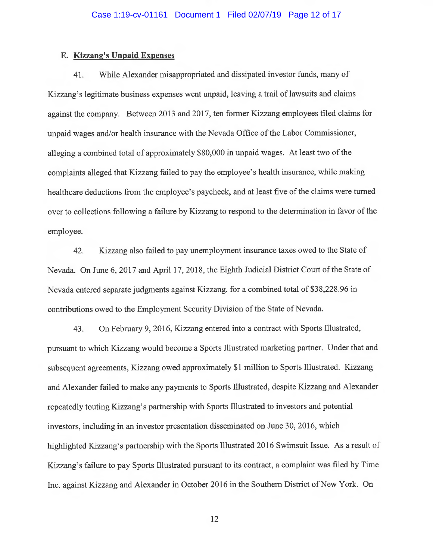### E. Kizzang's Unpaid Expenses

41. While Alexander misappropriated and dissipated investor funds, many of <sup>K</sup>izzang's legitimate business expenses went unpaid, leaving a trail of lawsuits and claims <sup>a</sup>gainst the company. Between 2013 and 2017, ten former Kizzang employees filed claims for <sup>u</sup>npaid wages and/or health insurance with the Nevada Office of the Labor Commissioner, <sup>a</sup>lleging a combined total of approximately \$80,000 in unpaid wages. At least two of the <sup>c</sup>omplaints alleged that Kizzang failed to pay the employee's health insurance, while making healthcare deductions from the employee's paycheck, and at least five of the claims were turned <sup>o</sup>ver to collections following a failure by Kizzang to respond to the determination in favor of the <sup>e</sup>mployee.

42. Kizzang also failed to pay unemployment insurance taxes owed to the State of <sup>N</sup>evada. On June 6, 2017 and April 17, 2018, the Eighth Judicial District Court of the State of <sup>N</sup>evada entered separate judgments against Kizzang, for a combined total of \$38,228.96 in <sup>c</sup>ontributions owed to the Employment Security Division of the State of Nevada.

43. On February 9, 2016, Kizzang entered into a contract with Sports Illustrated, <sup>p</sup>ursuant to which Kizzang would become a Sports Illustrated marketing partner. Under that and <sup>s</sup>ubsequent agreements, Kizzang owed approximately \$1 million to Sports Illustrated. Kizzang and Alexander failed to make any payments to Sports Illustrated, despite Kizzang and Alexander <sup>r</sup>epeatedly touting Kizzang's partnership with Sports Illustrated to investors and potential investors, including in an investor presentation disseminated on June 30, 2016, which <sup>h</sup>ighlighted Kizzang's partnership with the Sports Illustrated 2016 Swimsuit Issue. As a result of <sup>K</sup>izzang's failure to pay Sports Illustrated pursuant to its contract, a complaint was filed by Time <sup>I</sup>nc. against Kizzang and Alexander in October 2016 in the Southern District of New York. On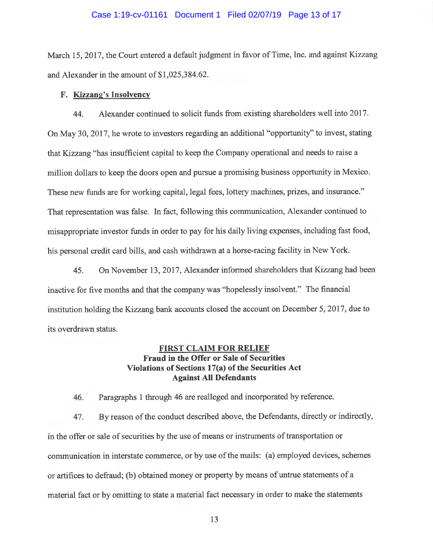### Case 1:19-cv-01161 Document 1 Filed 02/07/19 Page 13 of 17

March 15, 2017, the Court entered a default judgment in favor of Time, Inc. and against Kizzang <sup>a</sup>nd Alexander in the amount of \$1,025,384.62.

### <sup>F</sup>. Kizzang's Insolvency

44. Alexander continued to solicit funds from existing shareholders well into 2017. <sup>O</sup>n May 30, 2017, he wrote to investors regarding an additional "opportunity" to invest, stating <sup>t</sup>hat Kizzang "has insufficient capital to keep the Company operational and needs to raise <sup>a</sup> <sup>m</sup>illion dollars to keep the doors open and pursue a promising business opportunity in Mexico. <sup>T</sup>hese new funds are for working capital, legal fees, lottery machines, prizes, and insurance." <sup>T</sup>hat representation was false. In fact, following this communication, Alexander continued to <sup>m</sup>isappropriate investor funds in order to pay for his daily living expenses, including fast food, <sup>h</sup>is personal credit card bills, and cash withdrawn at ahorse-racing facility in New York.

45. On November 13, 2017, Alexander informed shareholders that Kizzang had been inactive for five months and that the company was "hopelessly insolvent." The financial institution holding the Kizzang bank accounts closed the account on December 5, 2017, due to its overdrawn status.

# FIRST CLAIM FOR RELIEF Fraud in the Offer or Sale of Securities Violations of Sections 17(a) of the Securities Act <sup>A</sup>gainst All Defendants

46. Paragraphs 1 through 46 are realleged and incorporated by reference.

<sup>4</sup>7. By reason of the conduct described above, the Defendants, directly or indirectly, in the offer or sale of securities by the use of means or instruments of transportation or <sup>c</sup>ommunication in interstate commerce, or by use of the mails: (a) employed devices, schemes <sup>o</sup>r artifices to defraud; (b) obtained money or property by means of untrue statements of <sup>a</sup> <sup>m</sup>aterial fact or by omitting to state a material fact necessary in order to make the statements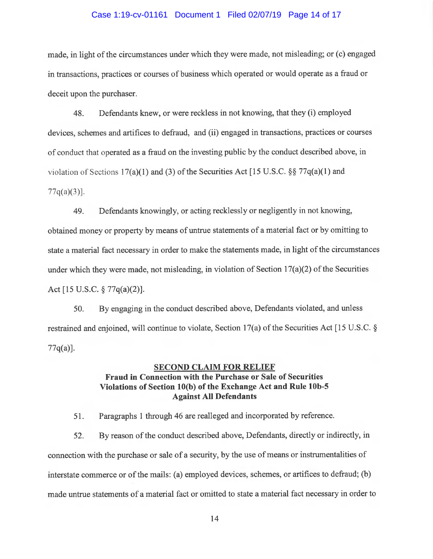#### Case 1:19-cv-01161 Document 1 Filed 02/07/19 Page 14 of 17

made, in light of the circumstances under which they were made, not misleading; or (c) engaged in transactions, practices or courses of business which operated or would operate as a fraud or deceit upon the purchaser.

48. Defendants knew, or were reckless in not knowing, that they (i) employed devices, schemes and artifices to defraud, and (ii) engaged in transactions, practices or courses <sup>o</sup>f conduct that operated as a fraud on the investing public by the conduct described above, in violation of Sections 17(a)(1) and (3) of the Securities Act [15 U.S.C.  $\S$  77 $q$ (a)(1) and  $77q(a)(3)$ .

49. Defendants knowingly, or acting recklessly or negligently in not knowing, <sup>o</sup>btained money or property by means of untrue statements of a material fact or by omitting to <sup>s</sup>tate a material fact necessary in order to make the statements made, in light of the circumstances under which they were made, not misleading, in violation of Section  $17(a)(2)$  of the Securities <sup>A</sup>ct [15 U.S.C. § 77q(a)(2)].

50. By engaging in the conduct described above, Defendants violated, and unless <sup>r</sup>estrained and enjoined, will continue to violate, Section 17(a) of the Securities Act [15 U.S.C. §  $77q(a)$ ].

## SECOND CLAIM FOR RELIEF Fraud in Connection with the Purchase or Sale of Securities Violations of Section 10(b) of the Exchange Act and Rule lOb-5 <sup>A</sup>gainst All Defendants

51. Paragraphs 1 through 46 are realleged and incorporated by reference.

<sup>5</sup>2. By reason of the conduct described above, Defendants, directly or indirectly, in <sup>c</sup>onnection with the purchase or sale of a security, by the use of means or instrumentalities of interstate commerce or of the mails: (a) employed devices, schemes, or artifices to defraud; (b) <sup>m</sup>ade untrue statements of a material fact or omitted to state a material fact necessary in order to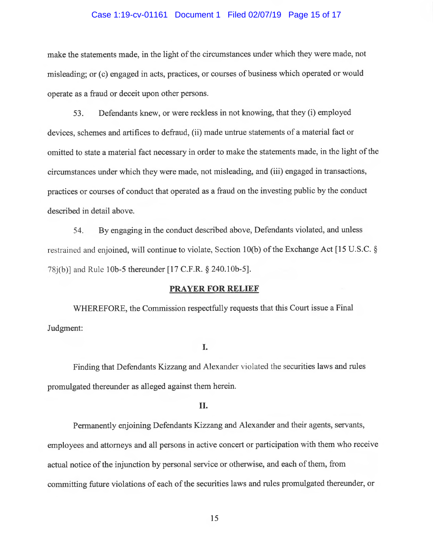#### Case 1:19-cv-01161 Document 1 Filed 02/07/19 Page 15 of 17

make the statements made, in the light of the circumstances under which they were made, not <sup>m</sup>isleading; or (c) engaged in acts, practices, or courses of business which operated or would <sup>o</sup>perate as a fraud or deceit upon other persons.

53. Defendants knew, or were reckless in not knowing, that they (i) employed devices, schemes and artifices to defraud, (ii) made untrue statements of a material fact or <sup>o</sup>mitted to state a material fact necessary in order to make the statements made, in the light of the <sup>c</sup>ircumstances under which they were made, not misleading, and (iii) engaged in transactions, <sup>p</sup>ractices or courses of conduct that operated as a fraud on the investing public by the conduct described in detail above.

54. By engaging in the conduct described above, Defendants violated, and unless <sup>r</sup>estrained and enjoined, will continue to violate, Section 10(b) of the Exchange Act [15 U.S.C. § <sup>7</sup>8j(b)] and Rule lOb-5 thereunder [17 C.F.R. § 240.1Ob-5].

### PRAYER FOR RELIEF

<sup>W</sup>HEREFORE, the Commission respectfully requests that this Court issue a Final Judgment:

## I.

<sup>F</sup>inding that Defendants Kizzang and Alexander violated the securities laws and rules <sup>p</sup>romulgated thereunder as alleged against them herein.

### II.

<sup>P</sup>ermanently enjoining Defendants Kizzang and Alexander and their agents, servants, <sup>e</sup>mployees and attorneys and all persons in active concert or participation with them who receive <sup>a</sup>ctual notice of the injunction by personal service or otherwise, and each of them, from <sup>c</sup>ommitting future violations of each of the securities laws and rules promulgated thereunder, or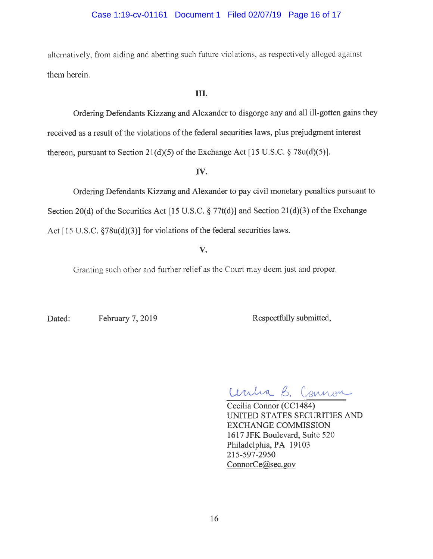## Case 1:19-cv-01161 Document 1 Filed 02/07/19 Page 16 of 17

alternatively, from aiding and abetting such future violations, as respectively alleged against them herein.

### III.

<sup>O</sup>rdering Defendants Kizzang and Alexander to disgorge any and all ill-gotten gains they <sup>r</sup>eceived as a result of the violations of the federal securities laws, plus prejudgment interest <sup>t</sup>hereon, pursuant to Section 21(d)(5) of the Exchange Act [15 U.S.C. § 78u(d)(5)].

## IV.

<sup>O</sup>rdering Defendants Kizzang and Alexander to pay civil monetary penalties pursuant to Section 20(d) of the Securities Act [15 U.S.C.  $\S 77t(d)$ ] and Section 21(d)(3) of the Exchange Act  $[15 \text{ U.S.C. } §78u(d)(3)]$  for violations of the federal securities laws.

# V.

Granting such other and further relief as the Court may deem just and proper.

Dated: February 7, 2019 Respectfully submitted,

Ceritia B. Connon

Cecilia Connor (CC1484) UNITED STATES SECURITIES AND EXCHANGE COMMISSION 1617 JFK Boulevard, Suite 520 <sup>P</sup>hiladelphia, PA 19103 215-597-2950 ConnorCe@sec.gov